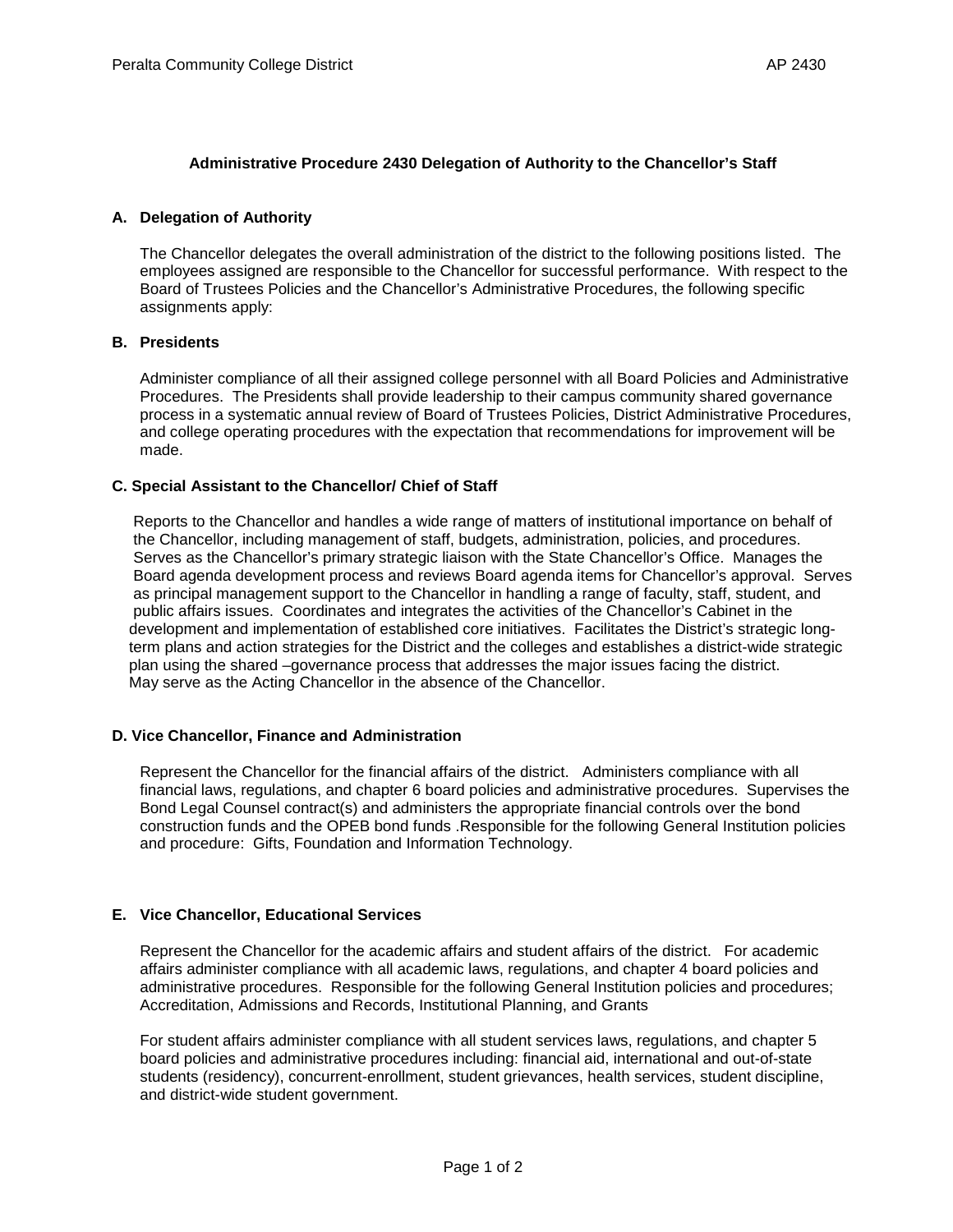#### **Administrative Procedure 2430 Delegation of Authority to the Chancellor's Staff**

#### **A. Delegation of Authority**

The Chancellor delegates the overall administration of the district to the following positions listed. The employees assigned are responsible to the Chancellor for successful performance. With respect to the Board of Trustees Policies and the Chancellor's Administrative Procedures, the following specific assignments apply:

# **B. Presidents**

Administer compliance of all their assigned college personnel with all Board Policies and Administrative Procedures. The Presidents shall provide leadership to their campus community shared governance process in a systematic annual review of Board of Trustees Policies, District Administrative Procedures, and college operating procedures with the expectation that recommendations for improvement will be made.

#### **C. Special Assistant to the Chancellor/ Chief of Staff**

 Reports to the Chancellor and handles a wide range of matters of institutional importance on behalf of the Chancellor, including management of staff, budgets, administration, policies, and procedures. Serves as the Chancellor's primary strategic liaison with the State Chancellor's Office. Manages the Board agenda development process and reviews Board agenda items for Chancellor's approval. Serves as principal management support to the Chancellor in handling a range of faculty, staff, student, and public affairs issues. Coordinates and integrates the activities of the Chancellor's Cabinet in the development and implementation of established core initiatives. Facilitates the District's strategic long term plans and action strategies for the District and the colleges and establishes a district-wide strategic plan using the shared –governance process that addresses the major issues facing the district. May serve as the Acting Chancellor in the absence of the Chancellor.

#### **D. Vice Chancellor, Finance and Administration**

Represent the Chancellor for the financial affairs of the district. Administers compliance with all financial laws, regulations, and chapter 6 board policies and administrative procedures. Supervises the Bond Legal Counsel contract(s) and administers the appropriate financial controls over the bond construction funds and the OPEB bond funds .Responsible for the following General Institution policies and procedure: Gifts, Foundation and Information Technology.

#### **E. Vice Chancellor, Educational Services**

Represent the Chancellor for the academic affairs and student affairs of the district. For academic affairs administer compliance with all academic laws, regulations, and chapter 4 board policies and administrative procedures. Responsible for the following General Institution policies and procedures; Accreditation, Admissions and Records, Institutional Planning, and Grants

For student affairs administer compliance with all student services laws, regulations, and chapter 5 board policies and administrative procedures including: financial aid, international and out-of-state students (residency), concurrent-enrollment, student grievances, health services, student discipline, and district-wide student government.